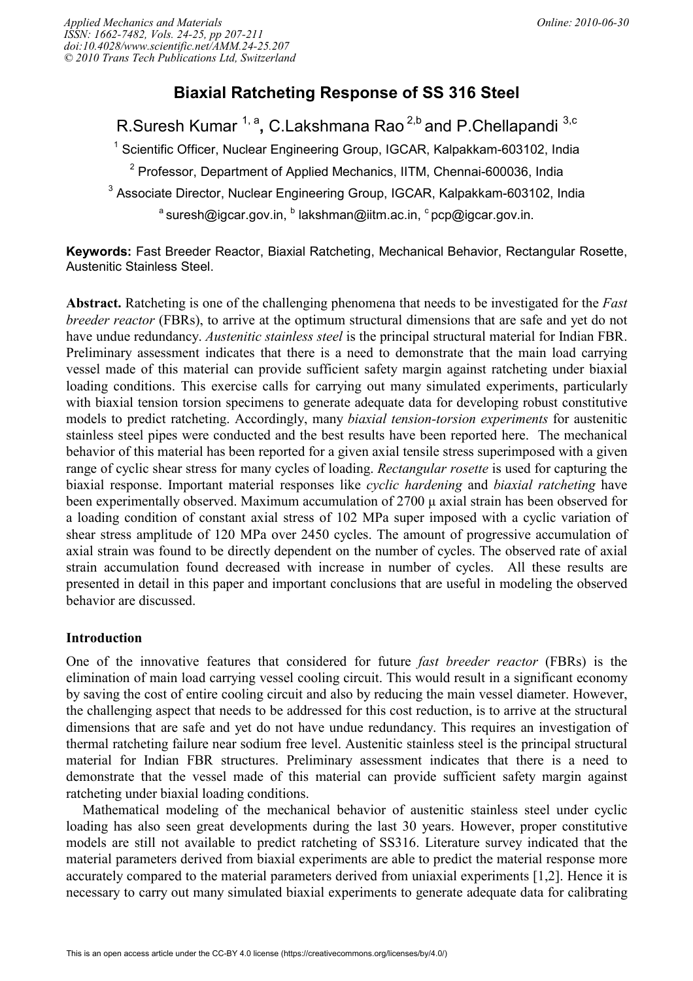# **Biaxial Ratcheting Response of SS 316 Steel**

R.Suresh Kumar <sup>1, a</sup>, C.Lakshmana Rao <sup>2,b</sup> and P.Chellapandi <sup>3,c</sup>

<sup>1</sup> Scientific Officer, Nuclear Engineering Group, IGCAR, Kalpakkam-603102, India <sup>2</sup> Professor, Department of Applied Mechanics, IITM, Chennai-600036, India  $3$  Associate Director, Nuclear Engineering Group, IGCAR, Kalpakkam-603102, India  $^{\text{a}}$ suresh@igcar.gov.in,  $^{\text{b}}$  lakshman@iitm.ac.in,  $^{\text{c}}$ pcp@igcar.gov.in.

**Keywords:** Fast Breeder Reactor, Biaxial Ratcheting, Mechanical Behavior, Rectangular Rosette, Austenitic Stainless Steel.

**Abstract.** Ratcheting is one of the challenging phenomena that needs to be investigated for the *Fast breeder reactor* (FBRs), to arrive at the optimum structural dimensions that are safe and yet do not have undue redundancy. *Austenitic stainless steel* is the principal structural material for Indian FBR. Preliminary assessment indicates that there is a need to demonstrate that the main load carrying vessel made of this material can provide sufficient safety margin against ratcheting under biaxial loading conditions. This exercise calls for carrying out many simulated experiments, particularly with biaxial tension torsion specimens to generate adequate data for developing robust constitutive models to predict ratcheting. Accordingly, many *biaxial tension-torsion experiments* for austenitic stainless steel pipes were conducted and the best results have been reported here. The mechanical behavior of this material has been reported for a given axial tensile stress superimposed with a given range of cyclic shear stress for many cycles of loading. *Rectangular rosette* is used for capturing the biaxial response. Important material responses like *cyclic hardening* and *biaxial ratcheting* have been experimentally observed. Maximum accumulation of 2700  $\mu$  axial strain has been observed for a loading condition of constant axial stress of 102 MPa super imposed with a cyclic variation of shear stress amplitude of 120 MPa over 2450 cycles. The amount of progressive accumulation of axial strain was found to be directly dependent on the number of cycles. The observed rate of axial strain accumulation found decreased with increase in number of cycles. All these results are presented in detail in this paper and important conclusions that are useful in modeling the observed behavior are discussed.

# **Introduction**

One of the innovative features that considered for future *fast breeder reactor* (FBRs) is the elimination of main load carrying vessel cooling circuit. This would result in a significant economy by saving the cost of entire cooling circuit and also by reducing the main vessel diameter. However, the challenging aspect that needs to be addressed for this cost reduction, is to arrive at the structural dimensions that are safe and yet do not have undue redundancy. This requires an investigation of thermal ratcheting failure near sodium free level. Austenitic stainless steel is the principal structural material for Indian FBR structures. Preliminary assessment indicates that there is a need to demonstrate that the vessel made of this material can provide sufficient safety margin against ratcheting under biaxial loading conditions.

Mathematical modeling of the mechanical behavior of austenitic stainless steel under cyclic loading has also seen great developments during the last 30 years. However, proper constitutive models are still not available to predict ratcheting of SS316. Literature survey indicated that the material parameters derived from biaxial experiments are able to predict the material response more accurately compared to the material parameters derived from uniaxial experiments [1,2]. Hence it is necessary to carry out many simulated biaxial experiments to generate adequate data for calibrating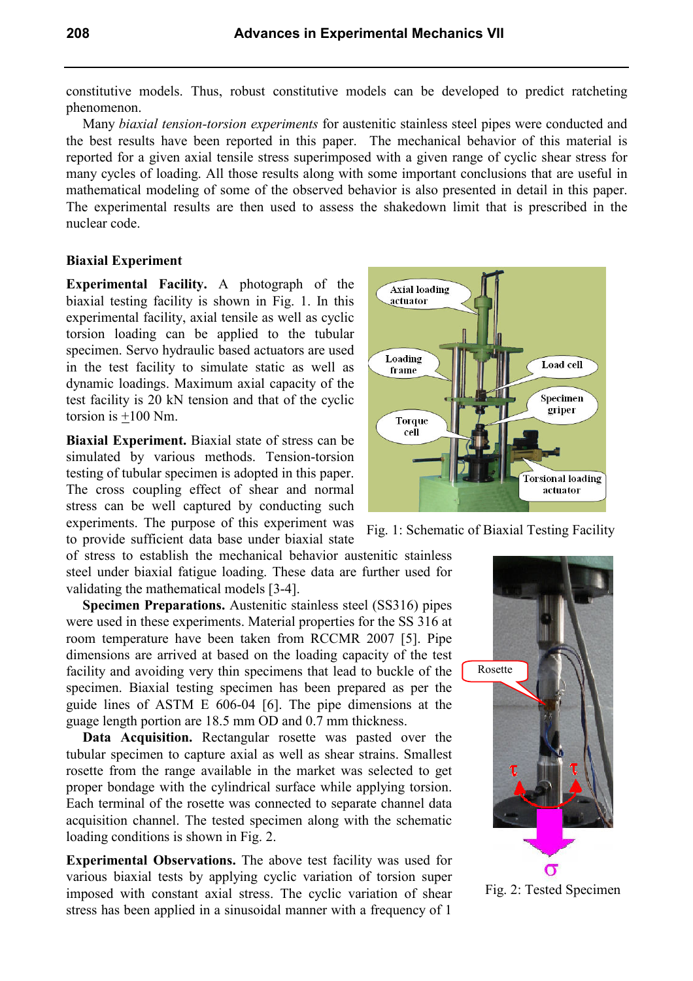constitutive models. Thus, robust constitutive models can be developed to predict ratcheting phenomenon.

Many *biaxial tension-torsion experiments* for austenitic stainless steel pipes were conducted and the best results have been reported in this paper. The mechanical behavior of this material is reported for a given axial tensile stress superimposed with a given range of cyclic shear stress for many cycles of loading. All those results along with some important conclusions that are useful in mathematical modeling of some of the observed behavior is also presented in detail in this paper. The experimental results are then used to assess the shakedown limit that is prescribed in the nuclear code.

# **Biaxial Experiment**

**Experimental Facility.** A photograph of the biaxial testing facility is shown in Fig. 1. In this experimental facility, axial tensile as well as cyclic torsion loading can be applied to the tubular specimen. Servo hydraulic based actuators are used in the test facility to simulate static as well as dynamic loadings. Maximum axial capacity of the test facility is 20 kN tension and that of the cyclic torsion is  $+100$  Nm.

**Biaxial Experiment.** Biaxial state of stress can be simulated by various methods. Tension-torsion testing of tubular specimen is adopted in this paper. The cross coupling effect of shear and normal stress can be well captured by conducting such experiments. The purpose of this experiment was to provide sufficient data base under biaxial state

of stress to establish the mechanical behavior austenitic stainless steel under biaxial fatigue loading. These data are further used for validating the mathematical models [3-4].

**Specimen Preparations.** Austenitic stainless steel (SS316) pipes were used in these experiments. Material properties for the SS 316 at room temperature have been taken from RCCMR 2007 [5]. Pipe dimensions are arrived at based on the loading capacity of the test facility and avoiding very thin specimens that lead to buckle of the specimen. Biaxial testing specimen has been prepared as per the guide lines of ASTM E 606-04 [6]. The pipe dimensions at the guage length portion are 18.5 mm OD and 0.7 mm thickness.

**Data Acquisition.** Rectangular rosette was pasted over the tubular specimen to capture axial as well as shear strains. Smallest rosette from the range available in the market was selected to get proper bondage with the cylindrical surface while applying torsion. Each terminal of the rosette was connected to separate channel data acquisition channel. The tested specimen along with the schematic loading conditions is shown in Fig. 2.

**Experimental Observations.** The above test facility was used for various biaxial tests by applying cyclic variation of torsion super imposed with constant axial stress. The cyclic variation of shear stress has been applied in a sinusoidal manner with a frequency of 1



Fig. 1: Schematic of Biaxial Testing Facility



Fig. 2: Tested Specimen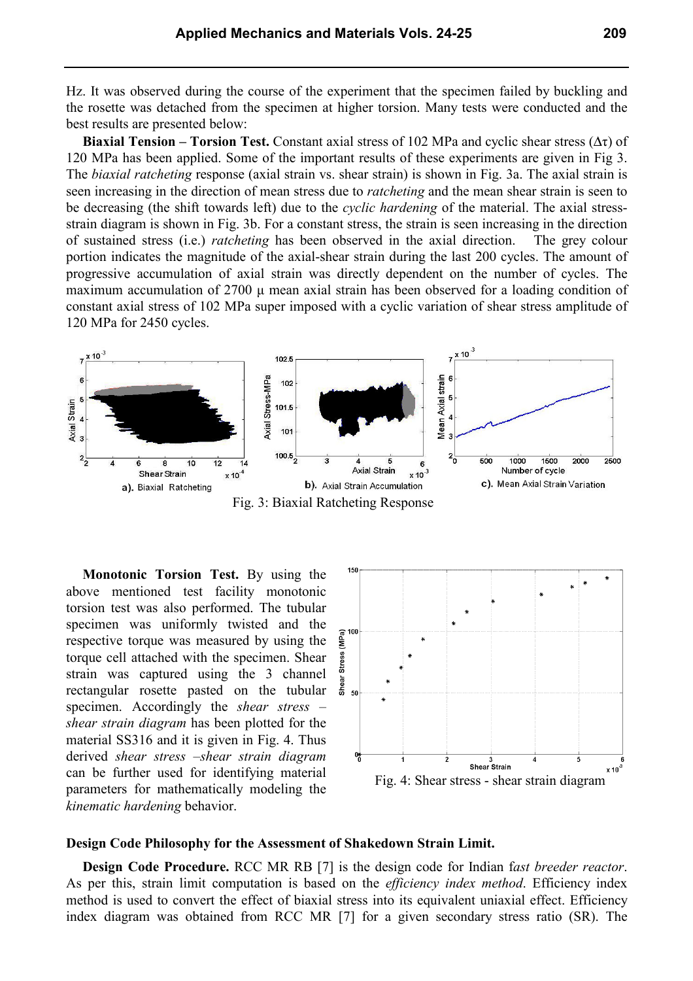Hz. It was observed during the course of the experiment that the specimen failed by buckling and the rosette was detached from the specimen at higher torsion. Many tests were conducted and the best results are presented below:

**Biaxial Tension – Torsion Test.** Constant axial stress of 102 MPa and cyclic shear stress (∆τ) of 120 MPa has been applied. Some of the important results of these experiments are given in Fig 3. The *biaxial ratcheting* response (axial strain vs. shear strain) is shown in Fig. 3a. The axial strain is seen increasing in the direction of mean stress due to *ratcheting* and the mean shear strain is seen to be decreasing (the shift towards left) due to the *cyclic hardening* of the material. The axial stressstrain diagram is shown in Fig. 3b. For a constant stress, the strain is seen increasing in the direction of sustained stress (i.e.) *ratcheting* has been observed in the axial direction. The grey colour portion indicates the magnitude of the axial-shear strain during the last 200 cycles. The amount of progressive accumulation of axial strain was directly dependent on the number of cycles. The maximum accumulation of  $2700 \mu$  mean axial strain has been observed for a loading condition of constant axial stress of 102 MPa super imposed with a cyclic variation of shear stress amplitude of 120 MPa for 2450 cycles.





**Monotonic Torsion Test.** By using the above mentioned test facility monotonic torsion test was also performed. The tubular specimen was uniformly twisted and the respective torque was measured by using the torque cell attached with the specimen. Shear strain was captured using the 3 channel rectangular rosette pasted on the tubular specimen. Accordingly the *shear stress – shear strain diagram* has been plotted for the material SS316 and it is given in Fig. 4. Thus derived *shear stress –shear strain diagram* can be further used for identifying material parameters for mathematically modeling the *kinematic hardening* behavior.



#### **Design Code Philosophy for the Assessment of Shakedown Strain Limit.**

**Design Code Procedure.** RCC MR RB [7] is the design code for Indian f*ast breeder reactor*. As per this, strain limit computation is based on the *efficiency index method*. Efficiency index method is used to convert the effect of biaxial stress into its equivalent uniaxial effect. Efficiency index diagram was obtained from RCC MR [7] for a given secondary stress ratio (SR). The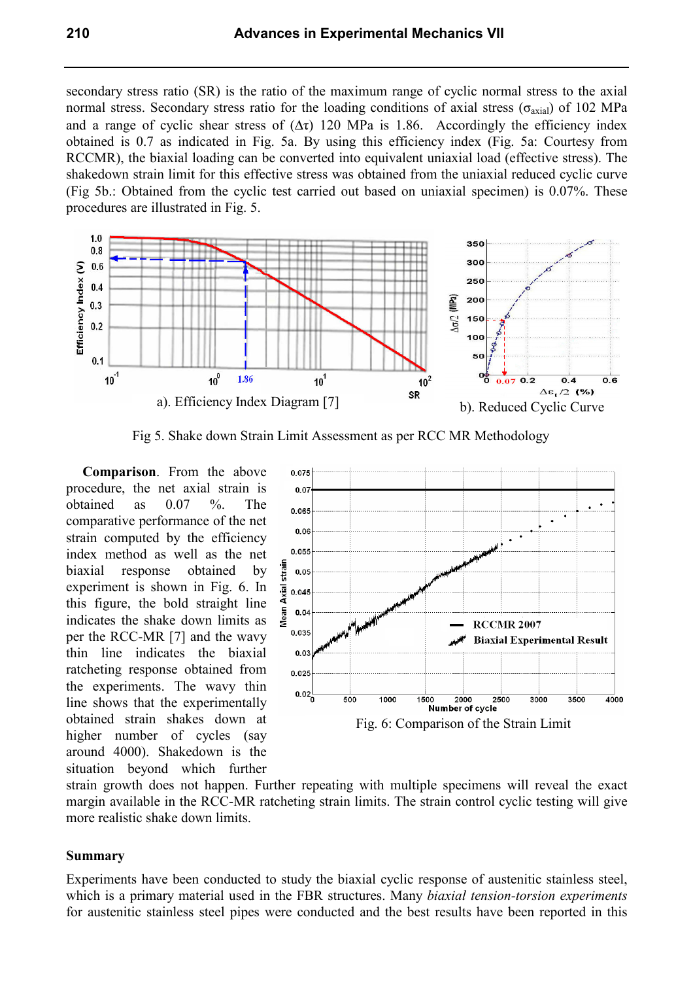secondary stress ratio (SR) is the ratio of the maximum range of cyclic normal stress to the axial normal stress. Secondary stress ratio for the loading conditions of axial stress ( $\sigma_{\text{axial}}$ ) of 102 MPa and a range of cyclic shear stress of  $(\Delta \tau)$  120 MPa is 1.86. Accordingly the efficiency index obtained is 0.7 as indicated in Fig. 5a. By using this efficiency index (Fig. 5a: Courtesy from RCCMR), the biaxial loading can be converted into equivalent uniaxial load (effective stress). The shakedown strain limit for this effective stress was obtained from the uniaxial reduced cyclic curve (Fig 5b.: Obtained from the cyclic test carried out based on uniaxial specimen) is 0.07%. These procedures are illustrated in Fig. 5.



Fig 5. Shake down Strain Limit Assessment as per RCC MR Methodology

**Comparison**. From the above procedure, the net axial strain is obtained as 0.07 %. The comparative performance of the net strain computed by the efficiency index method as well as the net biaxial response obtained by experiment is shown in Fig. 6. In this figure, the bold straight line indicates the shake down limits as per the RCC-MR [7] and the wavy thin line indicates the biaxial ratcheting response obtained from the experiments. The wavy thin line shows that the experimentally obtained strain shakes down at higher number of cycles (say around 4000). Shakedown is the situation beyond which further



strain growth does not happen. Further repeating with multiple specimens will reveal the exact margin available in the RCC-MR ratcheting strain limits. The strain control cyclic testing will give more realistic shake down limits.

### **Summary**

Experiments have been conducted to study the biaxial cyclic response of austenitic stainless steel, which is a primary material used in the FBR structures. Many *biaxial tension-torsion experiments* for austenitic stainless steel pipes were conducted and the best results have been reported in this